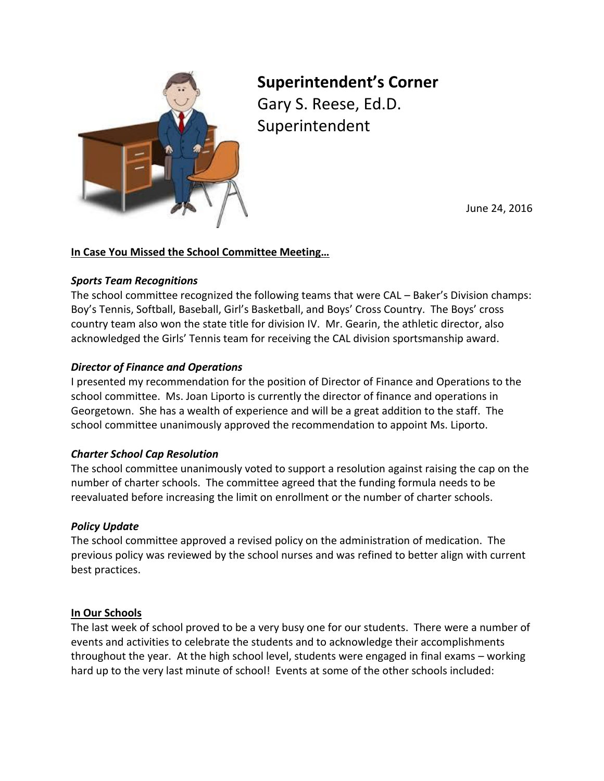

# **Superintendent's Corner**

Gary S. Reese, Ed.D. Superintendent

June 24, 2016

## **In Case You Missed the School Committee Meeting…**

### *Sports Team Recognitions*

The school committee recognized the following teams that were CAL – Baker's Division champs: Boy's Tennis, Softball, Baseball, Girl's Basketball, and Boys' Cross Country. The Boys' cross country team also won the state title for division IV. Mr. Gearin, the athletic director, also acknowledged the Girls' Tennis team for receiving the CAL division sportsmanship award.

## *Director of Finance and Operations*

I presented my recommendation for the position of Director of Finance and Operations to the school committee. Ms. Joan Liporto is currently the director of finance and operations in Georgetown. She has a wealth of experience and will be a great addition to the staff. The school committee unanimously approved the recommendation to appoint Ms. Liporto.

## *Charter School Cap Resolution*

The school committee unanimously voted to support a resolution against raising the cap on the number of charter schools. The committee agreed that the funding formula needs to be reevaluated before increasing the limit on enrollment or the number of charter schools.

## *Policy Update*

The school committee approved a revised policy on the administration of medication. The previous policy was reviewed by the school nurses and was refined to better align with current best practices.

#### **In Our Schools**

The last week of school proved to be a very busy one for our students. There were a number of events and activities to celebrate the students and to acknowledge their accomplishments throughout the year. At the high school level, students were engaged in final exams – working hard up to the very last minute of school! Events at some of the other schools included: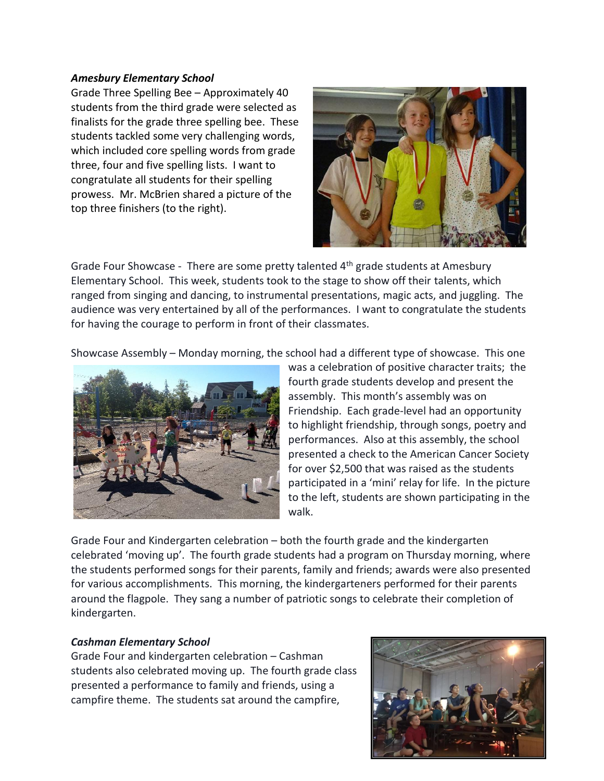#### *Amesbury Elementary School*

Grade Three Spelling Bee – Approximately 40 students from the third grade were selected as finalists for the grade three spelling bee. These students tackled some very challenging words, which included core spelling words from grade three, four and five spelling lists. I want to congratulate all students for their spelling prowess. Mr. McBrien shared a picture of the top three finishers (to the right).



Grade Four Showcase - There are some pretty talented  $4<sup>th</sup>$  grade students at Amesbury Elementary School. This week, students took to the stage to show off their talents, which ranged from singing and dancing, to instrumental presentations, magic acts, and juggling. The audience was very entertained by all of the performances. I want to congratulate the students for having the courage to perform in front of their classmates.

Showcase Assembly – Monday morning, the school had a different type of showcase. This one



was a celebration of positive character traits; the fourth grade students develop and present the assembly. This month's assembly was on Friendship. Each grade-level had an opportunity to highlight friendship, through songs, poetry and performances. Also at this assembly, the school presented a check to the American Cancer Society for over \$2,500 that was raised as the students participated in a 'mini' relay for life. In the picture to the left, students are shown participating in the walk.

Grade Four and Kindergarten celebration – both the fourth grade and the kindergarten celebrated 'moving up'. The fourth grade students had a program on Thursday morning, where the students performed songs for their parents, family and friends; awards were also presented for various accomplishments. This morning, the kindergarteners performed for their parents around the flagpole. They sang a number of patriotic songs to celebrate their completion of kindergarten.

#### *Cashman Elementary School*

Grade Four and kindergarten celebration – Cashman students also celebrated moving up. The fourth grade class presented a performance to family and friends, using a campfire theme. The students sat around the campfire,